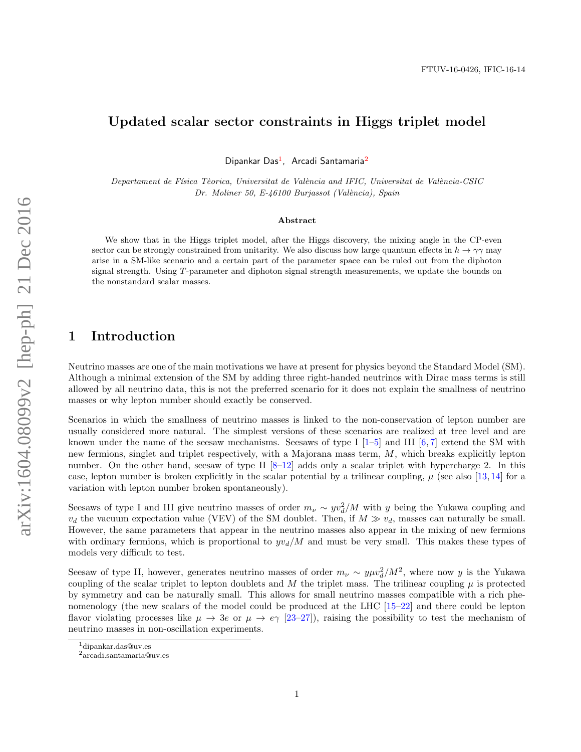# Updated scalar sector constraints in Higgs triplet model

Dipankar Das<sup>1</sup>, Arcadi Santamaria<sup>2</sup>

Departament de Física Tèorica, Universitat de València and IFIC, Universitat de València-CSIC Dr. Moliner 50, E-46100 Burjassot (València), Spain

#### Abstract

We show that in the Higgs triplet model, after the Higgs discovery, the mixing angle in the CP-even sector can be strongly constrained from unitarity. We also discuss how large quantum effects in  $h \to \gamma\gamma$  may arise in a SM-like scenario and a certain part of the parameter space can be ruled out from the diphoton signal strength. Using T-parameter and diphoton signal strength measurements, we update the bounds on the nonstandard scalar masses.

## 1 Introduction

arXiv:1604.08099v2 [hep-ph] 21 Dec 2016 arXiv:1604.08099v2 [hep-ph] 21 Dec 2016

Neutrino masses are one of the main motivations we have at present for physics beyond the Standard Model (SM). Although a minimal extension of the SM by adding three right-handed neutrinos with Dirac mass terms is still allowed by all neutrino data, this is not the preferred scenario for it does not explain the smallness of neutrino masses or why lepton number should exactly be conserved.

Scenarios in which the smallness of neutrino masses is linked to the non-conservation of lepton number are usually considered more natural. The simplest versions of these scenarios are realized at tree level and are known under the name of the seesaw mechanisms. Seesaws of type I  $[1-5]$  and III  $[6, 7]$  extend the SM with new fermions, singlet and triplet respectively, with a Majorana mass term, M, which breaks explicitly lepton number. On the other hand, seesaw of type II  $[8-12]$  adds only a scalar triplet with hypercharge 2. In this case, lepton number is broken explicitly in the scalar potential by a trilinear coupling,  $\mu$  (see also [13, 14] for a variation with lepton number broken spontaneously).

Seesaws of type I and III give neutrino masses of order  $m_{\nu} \sim yv_d^2/M$  with y being the Yukawa coupling and  $v_d$  the vacuum expectation value (VEV) of the SM doublet. Then, if  $M \gg v_d$ , masses can naturally be small. However, the same parameters that appear in the neutrino masses also appear in the mixing of new fermions with ordinary fermions, which is proportional to  $yv_d/M$  and must be very small. This makes these types of models very difficult to test.

Seesaw of type II, however, generates neutrino masses of order  $m_{\nu} \sim y \mu v_d^2/M^2$ , where now y is the Yukawa coupling of the scalar triplet to lepton doublets and M the triplet mass. The trilinear coupling  $\mu$  is protected by symmetry and can be naturally small. This allows for small neutrino masses compatible with a rich phenomenology (the new scalars of the model could be produced at the LHC [15–22] and there could be lepton flavor violating processes like  $\mu \to 3e$  or  $\mu \to e\gamma$  [23–27]), raising the possibility to test the mechanism of neutrino masses in non-oscillation experiments.

<sup>&</sup>lt;sup>1</sup>dipankar.das@uv.es

<sup>2</sup>arcadi.santamaria@uv.es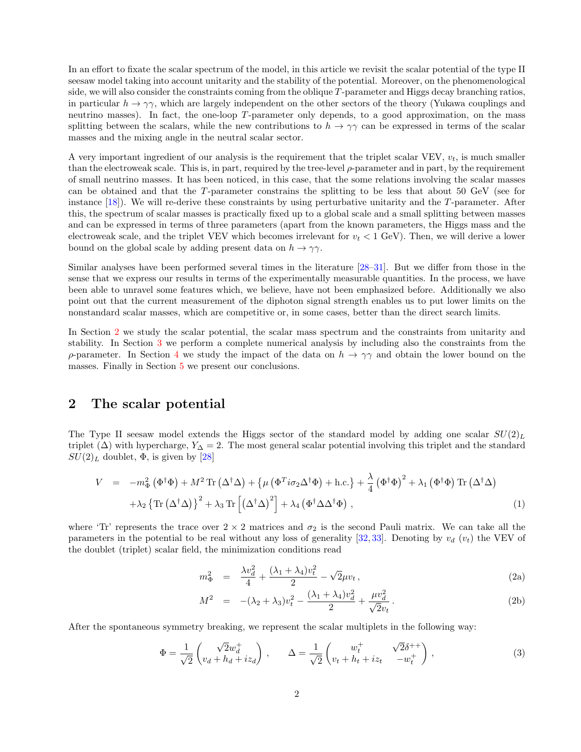In an effort to fixate the scalar spectrum of the model, in this article we revisit the scalar potential of the type II seesaw model taking into account unitarity and the stability of the potential. Moreover, on the phenomenological side, we will also consider the constraints coming from the oblique T-parameter and Higgs decay branching ratios, in particular  $h \to \gamma \gamma$ , which are largely independent on the other sectors of the theory (Yukawa couplings and neutrino masses). In fact, the one-loop T-parameter only depends, to a good approximation, on the mass splitting between the scalars, while the new contributions to  $h \to \gamma\gamma$  can be expressed in terms of the scalar masses and the mixing angle in the neutral scalar sector.

A very important ingredient of our analysis is the requirement that the triplet scalar VEV,  $v_t$ , is much smaller than the electroweak scale. This is, in part, required by the tree-level ρ-parameter and in part, by the requirement of small neutrino masses. It has been noticed, in this case, that the some relations involving the scalar masses can be obtained and that the T-parameter constrains the splitting to be less that about 50 GeV (see for instance [18]). We will re-derive these constraints by using perturbative unitarity and the T-parameter. After this, the spectrum of scalar masses is practically fixed up to a global scale and a small splitting between masses and can be expressed in terms of three parameters (apart from the known parameters, the Higgs mass and the electroweak scale, and the triplet VEV which becomes irrelevant for  $v_t < 1$  GeV). Then, we will derive a lower bound on the global scale by adding present data on  $h \to \gamma \gamma$ .

Similar analyses have been performed several times in the literature [28–31]. But we differ from those in the sense that we express our results in terms of the experimentally measurable quantities. In the process, we have been able to unravel some features which, we believe, have not been emphasized before. Additionally we also point out that the current measurement of the diphoton signal strength enables us to put lower limits on the nonstandard scalar masses, which are competitive or, in some cases, better than the direct search limits.

In Section 2 we study the scalar potential, the scalar mass spectrum and the constraints from unitarity and stability. In Section 3 we perform a complete numerical analysis by including also the constraints from the ρ-parameter. In Section 4 we study the impact of the data on  $h \to \gamma\gamma$  and obtain the lower bound on the masses. Finally in Section 5 we present our conclusions.

### 2 The scalar potential

The Type II seesaw model extends the Higgs sector of the standard model by adding one scalar  $SU(2)_L$ triplet  $(\Delta)$  with hypercharge,  $Y_{\Delta} = 2$ . The most general scalar potential involving this triplet and the standard  $SU(2)_L$  doublet,  $\Phi$ , is given by [28]

$$
V = -m_{\Phi}^{2} (\Phi^{\dagger} \Phi) + M^{2} \text{Tr} (\Delta^{\dagger} \Delta) + {\mu (\Phi^{T} i \sigma_{2} \Delta^{\dagger} \Phi) + \text{h.c.}} + \frac{\lambda}{4} (\Phi^{\dagger} \Phi)^{2} + \lambda_{1} (\Phi^{\dagger} \Phi) \text{Tr} (\Delta^{\dagger} \Delta)
$$
  
+  $\lambda_{2} {\text{Tr} (\Delta^{\dagger} \Delta)}^{2} + \lambda_{3} \text{Tr} [(\Delta^{\dagger} \Delta)^{2}] + \lambda_{4} (\Phi^{\dagger} \Delta \Delta^{\dagger} \Phi) ,$  (1)

where 'Tr' represents the trace over  $2 \times 2$  matrices and  $\sigma_2$  is the second Pauli matrix. We can take all the parameters in the potential to be real without any loss of generality [32, 33]. Denoting by  $v_d$  ( $v_t$ ) the VEV of the doublet (triplet) scalar field, the minimization conditions read

$$
m_{\Phi}^2 = \frac{\lambda v_d^2}{4} + \frac{(\lambda_1 + \lambda_4)v_t^2}{2} - \sqrt{2}\mu v_t,
$$
\n(2a)

$$
M^{2} = -(\lambda_{2} + \lambda_{3})v_{t}^{2} - \frac{(\lambda_{1} + \lambda_{4})v_{d}^{2}}{2} + \frac{\mu v_{d}^{2}}{\sqrt{2}v_{t}}.
$$
\n(2b)

After the spontaneous symmetry breaking, we represent the scalar multiplets in the following way:

$$
\Phi = \frac{1}{\sqrt{2}} \begin{pmatrix} \sqrt{2}w_d^+ \\ v_d + h_d + iz_d \end{pmatrix}, \qquad \Delta = \frac{1}{\sqrt{2}} \begin{pmatrix} w_t^+ & \sqrt{2}\delta^{++} \\ v_t + h_t + iz_t & -w_t^+ \end{pmatrix}, \tag{3}
$$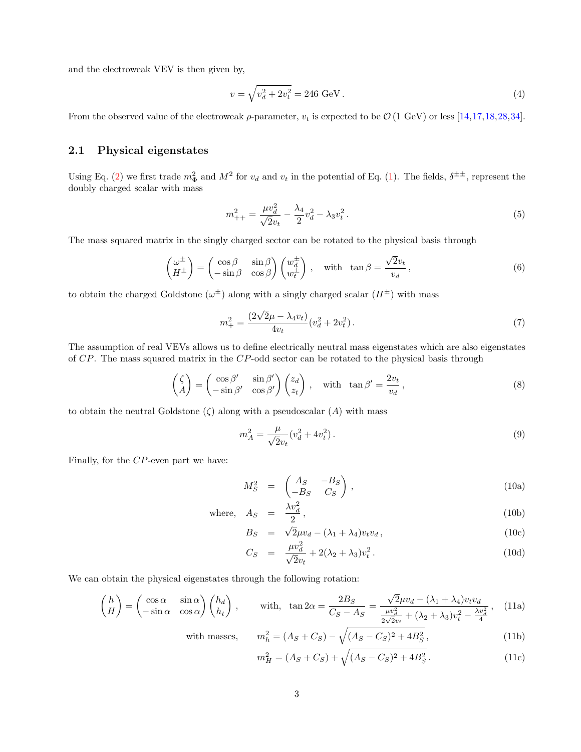and the electroweak VEV is then given by,

$$
v = \sqrt{v_d^2 + 2v_t^2} = 246 \text{ GeV} \,. \tag{4}
$$

From the observed value of the electroweak  $\rho$ -parameter,  $v_t$  is expected to be  $\mathcal{O}(1 \text{ GeV})$  or less [14,17,18,28,34].

#### 2.1 Physical eigenstates

Using Eq. (2) we first trade  $m_{\Phi}^2$  and  $M^2$  for  $v_d$  and  $v_t$  in the potential of Eq. (1). The fields,  $\delta^{\pm \pm}$ , represent the doubly charged scalar with mass

$$
m_{++}^2 = \frac{\mu v_d^2}{\sqrt{2}v_t} - \frac{\lambda_4}{2}v_d^2 - \lambda_3 v_t^2.
$$
\n(5)

The mass squared matrix in the singly charged sector can be rotated to the physical basis through

$$
\begin{pmatrix} \omega^{\pm} \\ H^{\pm} \end{pmatrix} = \begin{pmatrix} \cos \beta & \sin \beta \\ -\sin \beta & \cos \beta \end{pmatrix} \begin{pmatrix} w_d^{\pm} \\ w_t^{\pm} \end{pmatrix}, \quad \text{with } \tan \beta = \frac{\sqrt{2}v_t}{v_d},
$$
\n(6)

to obtain the charged Goldstone  $(\omega^{\pm})$  along with a singly charged scalar  $(H^{\pm})$  with mass

$$
m_{+}^{2} = \frac{(2\sqrt{2}\mu - \lambda_{4}v_{t})}{4v_{t}}(v_{d}^{2} + 2v_{t}^{2}).
$$
\n(7)

The assumption of real VEVs allows us to define electrically neutral mass eigenstates which are also eigenstates of CP. The mass squared matrix in the CP-odd sector can be rotated to the physical basis through

$$
\begin{pmatrix} \zeta \\ A \end{pmatrix} = \begin{pmatrix} \cos \beta' & \sin \beta' \\ -\sin \beta' & \cos \beta' \end{pmatrix} \begin{pmatrix} z_d \\ z_t \end{pmatrix}, \quad \text{with } \tan \beta' = \frac{2v_t}{v_d},
$$
\n(8)

to obtain the neutral Goldstone  $(\zeta)$  along with a pseudoscalar  $(A)$  with mass

$$
m_A^2 = \frac{\mu}{\sqrt{2}v_t}(v_d^2 + 4v_t^2). \tag{9}
$$

Finally, for the CP-even part we have:

$$
M_S^2 = \begin{pmatrix} A_S & -B_S \\ -B_S & C_S \end{pmatrix}, \tag{10a}
$$

where, 
$$
A_S = \frac{\lambda v_d^2}{2}
$$
, (10b)

$$
B_S = \sqrt{2}\mu v_d - (\lambda_1 + \lambda_4)v_t v_d, \qquad (10c)
$$

$$
C_S = \frac{\mu v_d^2}{\sqrt{2}v_t} + 2(\lambda_2 + \lambda_3)v_t^2.
$$
 (10d)

We can obtain the physical eigenstates through the following rotation:

$$
\begin{pmatrix} h \ H \end{pmatrix} = \begin{pmatrix} \cos \alpha & \sin \alpha \\ -\sin \alpha & \cos \alpha \end{pmatrix} \begin{pmatrix} h_d \\ h_t \end{pmatrix} \,, \qquad \text{with, } \tan 2\alpha = \frac{2B_S}{C_S - A_S} = \frac{\sqrt{2}\mu v_d - (\lambda_1 + \lambda_4)v_t v_d}{\frac{\mu v_d^2}{2\sqrt{2}v_t} + (\lambda_2 + \lambda_3)v_t^2 - \frac{\lambda v_d^2}{4}} \,, \tag{11a}
$$

with masses, 
$$
m_h^2 = (A_S + C_S) - \sqrt{(A_S - C_S)^2 + 4B_S^2}
$$
, (11b)

$$
m_H^2 = (A_S + C_S) + \sqrt{(A_S - C_S)^2 + 4B_S^2}.
$$
\n(11c)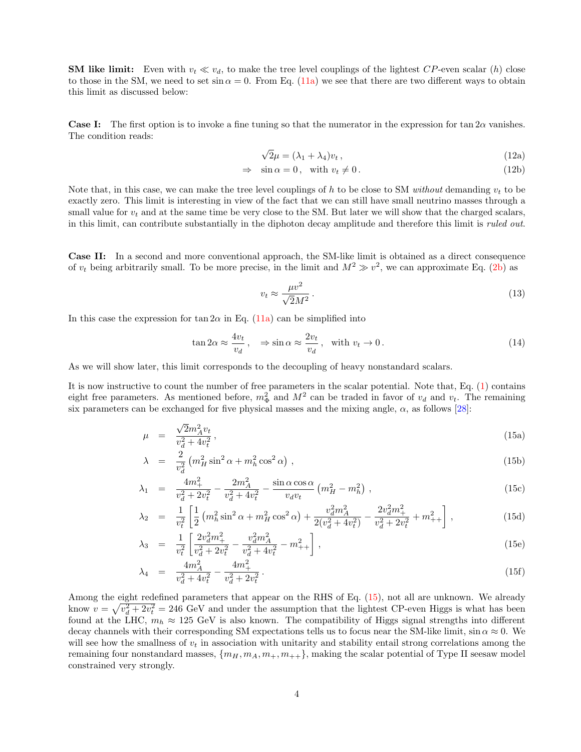**SM like limit:** Even with  $v_t \ll v_d$ , to make the tree level couplings of the lightest  $CP$ -even scalar (h) close to those in the SM, we need to set sin  $\alpha = 0$ . From Eq. (11a) we see that there are two different ways to obtain this limit as discussed below:

**Case I:** The first option is to invoke a fine tuning so that the numerator in the expression for tan  $2\alpha$  vanishes. The condition reads:

$$
\sqrt{2}\mu = (\lambda_1 + \lambda_4)v_t,\tag{12a}
$$

$$
\Rightarrow \sin \alpha = 0, \quad \text{with } v_t \neq 0. \tag{12b}
$$

Note that, in this case, we can make the tree level couplings of h to be close to SM *without* demanding  $v_t$  to be exactly zero. This limit is interesting in view of the fact that we can still have small neutrino masses through a small value for  $v_t$  and at the same time be very close to the SM. But later we will show that the charged scalars, in this limit, can contribute substantially in the diphoton decay amplitude and therefore this limit is *ruled out*.

Case II: In a second and more conventional approach, the SM-like limit is obtained as a direct consequence of  $v_t$  being arbitrarily small. To be more precise, in the limit and  $M^2 \gg v^2$ , we can approximate Eq. (2b) as

$$
v_t \approx \frac{\mu v^2}{\sqrt{2}M^2} \,. \tag{13}
$$

In this case the expression for tan  $2\alpha$  in Eq. (11a) can be simplified into

$$
\tan 2\alpha \approx \frac{4v_t}{v_d}, \quad \Rightarrow \sin \alpha \approx \frac{2v_t}{v_d}, \quad \text{with } v_t \to 0.
$$
\n<sup>(14)</sup>

As we will show later, this limit corresponds to the decoupling of heavy nonstandard scalars.

It is now instructive to count the number of free parameters in the scalar potential. Note that, Eq. (1) contains eight free parameters. As mentioned before,  $m_{\Phi}^2$  and  $M^2$  can be traded in favor of  $v_d$  and  $v_t$ . The remaining six parameters can be exchanged for five physical masses and the mixing angle,  $\alpha$ , as follows [28]:

$$
\mu = \frac{\sqrt{2}m_A^2 v_t}{v_d^2 + 4v_t^2},\tag{15a}
$$

$$
\lambda = \frac{2}{v_d^2} \left( m_H^2 \sin^2 \alpha + m_h^2 \cos^2 \alpha \right), \qquad (15b)
$$

$$
\lambda_1 = \frac{4m_+^2}{v_d^2 + 2v_t^2} - \frac{2m_A^2}{v_d^2 + 4v_t^2} - \frac{\sin \alpha \cos \alpha}{v_d v_t} \left( m_H^2 - m_h^2 \right),\tag{15c}
$$

$$
\lambda_2 = \frac{1}{v_t^2} \left[ \frac{1}{2} \left( m_h^2 \sin^2 \alpha + m_H^2 \cos^2 \alpha \right) + \frac{v_d^2 m_A^2}{2(v_d^2 + 4v_t^2)} - \frac{2v_d^2 m_+^2}{v_d^2 + 2v_t^2} + m_{++}^2 \right],\tag{15d}
$$

$$
\lambda_3 = \frac{1}{v_t^2} \left[ \frac{2v_d^2 m_+^2}{v_d^2 + 2v_t^2} - \frac{v_d^2 m_A^2}{v_d^2 + 4v_t^2} - m_+^2 + \right],
$$
\n(15e)

$$
\lambda_4 = \frac{4m_A^2}{v_d^2 + 4v_t^2} - \frac{4m_+^2}{v_d^2 + 2v_t^2} \,. \tag{15f}
$$

Among the eight redefined parameters that appear on the RHS of Eq. (15), not all are unknown. We already know  $v = \sqrt{v_d^2 + 2v_t^2} = 246$  GeV and under the assumption that the lightest CP-even Higgs is what has been found at the LHC,  $m_h \approx 125$  GeV is also known. The compatibility of Higgs signal strengths into different decay channels with their corresponding SM expectations tells us to focus near the SM-like limit,  $\sin \alpha \approx 0$ . We will see how the smallness of  $v_t$  in association with unitarity and stability entail strong correlations among the remaining four nonstandard masses,  $\{m_H, m_A, m_+, m_{++}\}\$ , making the scalar potential of Type II seesaw model constrained very strongly.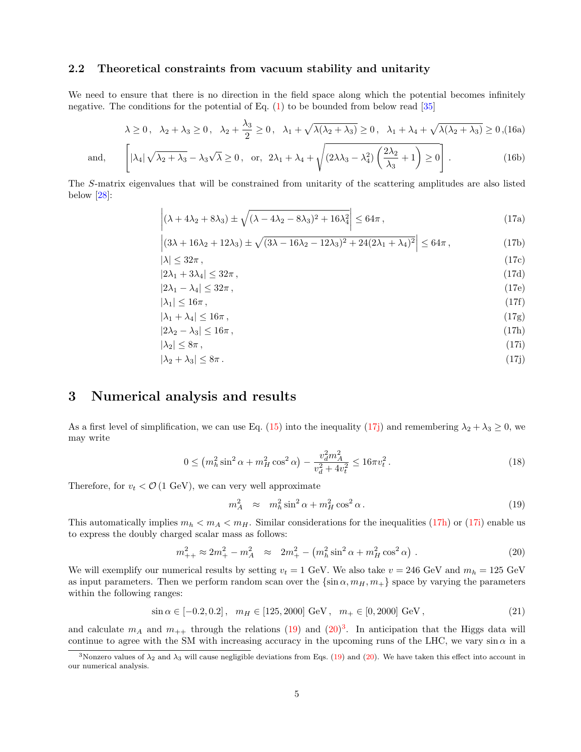#### 2.2 Theoretical constraints from vacuum stability and unitarity

We need to ensure that there is no direction in the field space along which the potential becomes infinitely negative. The conditions for the potential of Eq.  $(1)$  to be bounded from below read  $|35|$ 

$$
\lambda \ge 0, \quad \lambda_2 + \lambda_3 \ge 0, \quad \lambda_2 + \frac{\lambda_3}{2} \ge 0, \quad \lambda_1 + \sqrt{\lambda(\lambda_2 + \lambda_3)} \ge 0, \quad \lambda_1 + \lambda_4 + \sqrt{\lambda(\lambda_2 + \lambda_3)} \ge 0, (16a)
$$

and, 
$$
\left[ |\lambda_4| \sqrt{\lambda_2 + \lambda_3} - \lambda_3 \sqrt{\lambda} \ge 0, \text{ or, } 2\lambda_1 + \lambda_4 + \sqrt{(2\lambda\lambda_3 - \lambda_4^2) \left( \frac{2\lambda_2}{\lambda_3} + 1 \right) \ge 0} \right].
$$
 (16b)

The S-matrix eigenvalues that will be constrained from unitarity of the scattering amplitudes are also listed below [28]:

$$
\left| (\lambda + 4\lambda_2 + 8\lambda_3) \pm \sqrt{(\lambda - 4\lambda_2 - 8\lambda_3)^2 + 16\lambda_4^2} \right| \le 64\pi ,\tag{17a}
$$

$$
\left| (3\lambda + 16\lambda_2 + 12\lambda_3) \pm \sqrt{(3\lambda - 16\lambda_2 - 12\lambda_3)^2 + 24(2\lambda_1 + \lambda_4)^2} \right| \le 64\pi ,\tag{17b}
$$

$$
|\lambda| \le 32\pi, \tag{17c}
$$
\n
$$
|2\lambda_1 + 3\lambda_4| \le 32\pi, \tag{17d}
$$

$$
|2\lambda_1 - \lambda_4| \le 32\pi\,,\tag{17e}
$$

$$
|\lambda_1| \le 16\pi\,,\tag{17f}
$$

$$
|\lambda_1 + \lambda_4| \le 16\pi , \tag{17g}
$$
  

$$
|2\lambda_2 - \lambda_3| \le 16\pi , \tag{17h}
$$

$$
|\lambda_2| \le 8\pi,\tag{17i}
$$

$$
|\lambda_2 + \lambda_3| \le 8\pi. \tag{17}
$$

### 3 Numerical analysis and results

As a first level of simplification, we can use Eq. (15) into the inequality (17j) and remembering  $\lambda_2 + \lambda_3 \ge 0$ , we may write

$$
0 \le \left(m_h^2 \sin^2 \alpha + m_H^2 \cos^2 \alpha\right) - \frac{v_d^2 m_A^2}{v_d^2 + 4v_t^2} \le 16\pi v_t^2. \tag{18}
$$

Therefore, for  $v_t < \mathcal{O}(1 \text{ GeV})$ , we can very well approximate

$$
m_A^2 \approx m_h^2 \sin^2 \alpha + m_H^2 \cos^2 \alpha. \tag{19}
$$

This automatically implies  $m_h < m_A < m_H$ . Similar considerations for the inequalities (17h) or (17i) enable us to express the doubly charged scalar mass as follows:

$$
m_{++}^2 \approx 2m_+^2 - m_A^2 \approx 2m_+^2 - \left(m_h^2 \sin^2 \alpha + m_H^2 \cos^2 \alpha\right). \tag{20}
$$

We will exemplify our numerical results by setting  $v_t = 1$  GeV. We also take  $v = 246$  GeV and  $m_h = 125$  GeV as input parameters. Then we perform random scan over the  $\{\sin \alpha, m_H, m_+\}$  space by varying the parameters within the following ranges:

$$
\sin \alpha \in [-0.2, 0.2], \quad m_H \in [125, 2000] \text{ GeV}, \quad m_+ \in [0, 2000] \text{ GeV}, \tag{21}
$$

and calculate  $m_A$  and  $m_{++}$  through the relations (19) and (20)<sup>3</sup>. In anticipation that the Higgs data will continue to agree with the SM with increasing accuracy in the upcoming runs of the LHC, we vary  $\sin \alpha$  in a

<sup>&</sup>lt;sup>3</sup>Nonzero values of  $\lambda_2$  and  $\lambda_3$  will cause negligible deviations from Eqs. (19) and (20). We have taken this effect into account in our numerical analysis.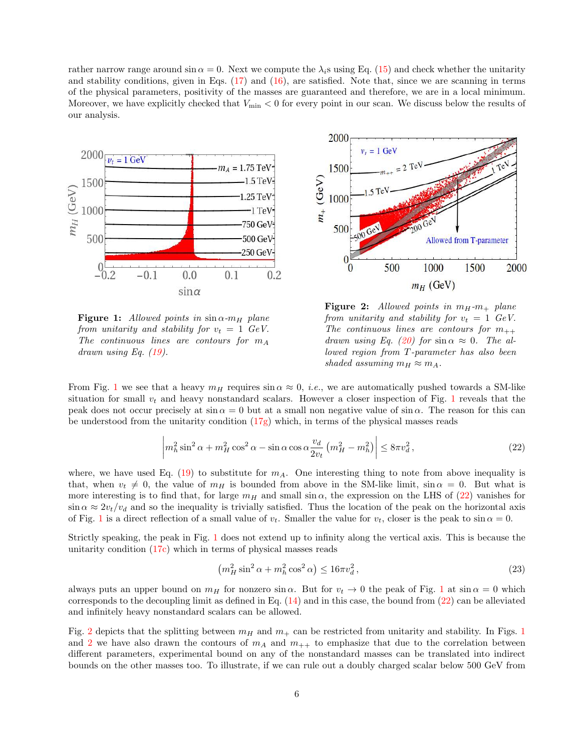rather narrow range around  $\sin \alpha = 0$ . Next we compute the  $\lambda_i$ s using Eq. (15) and check whether the unitarity and stability conditions, given in Eqs.  $(17)$  and  $(16)$ , are satisfied. Note that, since we are scanning in terms of the physical parameters, positivity of the masses are guaranteed and therefore, we are in a local minimum. Moreover, we have explicitly checked that  $V_{\text{min}} < 0$  for every point in our scan. We discuss below the results of our analysis.



Figure 1: *Allowed points in*  $\sin \alpha$ - $m_H$  *plane from unitarity and stability for*  $v_t = 1$  *GeV. The continuous lines are contours for*  $m_A$ *drawn using Eq. (19).*



Figure 2: *Allowed points in*  $m_H$ - $m_+$  *plane from unitarity and stability for*  $v_t = 1$  *GeV.* The continuous lines are contours for  $m_{++}$ *drawn using Eq.* (20) for  $\sin \alpha \approx 0$ . The al*lowed region from* T*-parameter has also been shaded assuming*  $m_H \approx m_A$ .

From Fig. 1 we see that a heavy  $m_H$  requires  $\sin \alpha \approx 0$ , *i.e.*, we are automatically pushed towards a SM-like situation for small  $v_t$  and heavy nonstandard scalars. However a closer inspection of Fig. 1 reveals that the peak does not occur precisely at  $\sin \alpha = 0$  but at a small non negative value of  $\sin \alpha$ . The reason for this can be understood from the unitarity condition  $(17g)$  which, in terms of the physical masses reads

$$
\left| m_h^2 \sin^2 \alpha + m_H^2 \cos^2 \alpha - \sin \alpha \cos \alpha \frac{v_d}{2v_t} \left( m_H^2 - m_h^2 \right) \right| \le 8\pi v_d^2, \tag{22}
$$

where, we have used Eq. (19) to substitute for  $m_A$ . One interesting thing to note from above inequality is that, when  $v_t \neq 0$ , the value of  $m_H$  is bounded from above in the SM-like limit,  $\sin \alpha = 0$ . But what is more interesting is to find that, for large  $m_H$  and small sin  $\alpha$ , the expression on the LHS of (22) vanishes for  $\sin \alpha \approx 2v_t/v_d$  and so the inequality is trivially satisfied. Thus the location of the peak on the horizontal axis of Fig. 1 is a direct reflection of a small value of  $v_t$ . Smaller the value for  $v_t$ , closer is the peak to  $\sin \alpha = 0$ .

Strictly speaking, the peak in Fig. 1 does not extend up to infinity along the vertical axis. This is because the unitarity condition (17c) which in terms of physical masses reads

$$
\left(m_H^2 \sin^2 \alpha + m_h^2 \cos^2 \alpha\right) \le 16\pi v_d^2\,,\tag{23}
$$

always puts an upper bound on  $m_H$  for nonzero  $\sin \alpha$ . But for  $v_t \to 0$  the peak of Fig. 1 at  $\sin \alpha = 0$  which corresponds to the decoupling limit as defined in Eq.  $(14)$  and in this case, the bound from  $(22)$  can be alleviated and infinitely heavy nonstandard scalars can be allowed.

Fig. 2 depicts that the splitting between  $m_H$  and  $m_+$  can be restricted from unitarity and stability. In Figs. 1 and 2 we have also drawn the contours of  $m_A$  and  $m_{++}$  to emphasize that due to the correlation between different parameters, experimental bound on any of the nonstandard masses can be translated into indirect bounds on the other masses too. To illustrate, if we can rule out a doubly charged scalar below 500 GeV from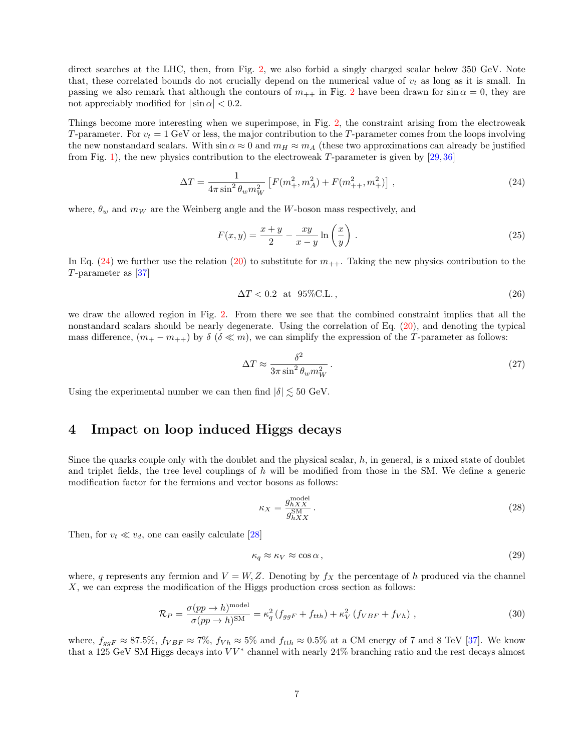direct searches at the LHC, then, from Fig. 2, we also forbid a singly charged scalar below 350 GeV. Note that, these correlated bounds do not crucially depend on the numerical value of  $v_t$  as long as it is small. In passing we also remark that although the contours of  $m_{++}$  in Fig. 2 have been drawn for sin  $\alpha = 0$ , they are not appreciably modified for  $|\sin \alpha| < 0.2$ .

Things become more interesting when we superimpose, in Fig. 2, the constraint arising from the electroweak T-parameter. For  $v_t = 1$  GeV or less, the major contribution to the T-parameter comes from the loops involving the new nonstandard scalars. With  $\sin \alpha \approx 0$  and  $m_H \approx m_A$  (these two approximations can already be justified from Fig. 1), the new physics contribution to the electroweak T-parameter is given by  $[29, 36]$ 

$$
\Delta T = \frac{1}{4\pi \sin^2 \theta_w m_W^2} \left[ F(m_+^2, m_A^2) + F(m_{++}^2, m_+^2) \right] \,, \tag{24}
$$

where,  $\theta_w$  and  $m_W$  are the Weinberg angle and the W-boson mass respectively, and

$$
F(x,y) = \frac{x+y}{2} - \frac{xy}{x-y} \ln\left(\frac{x}{y}\right). \tag{25}
$$

In Eq.  $(24)$  we further use the relation  $(20)$  to substitute for  $m_{++}$ . Taking the new physics contribution to the T-parameter as [37]

$$
\Delta T < 0.2 \quad \text{at} \quad 95\% \text{C.L.} \tag{26}
$$

we draw the allowed region in Fig. 2. From there we see that the combined constraint implies that all the nonstandard scalars should be nearly degenerate. Using the correlation of Eq. (20), and denoting the typical mass difference,  $(m_{+} - m_{++})$  by  $\delta$  ( $\delta \ll m$ ), we can simplify the expression of the T-parameter as follows:

$$
\Delta T \approx \frac{\delta^2}{3\pi \sin^2 \theta_w m_W^2} \,. \tag{27}
$$

Using the experimental number we can then find  $|\delta| \lesssim 50$  GeV.

### 4 Impact on loop induced Higgs decays

Since the quarks couple only with the doublet and the physical scalar,  $h$ , in general, is a mixed state of doublet and triplet fields, the tree level couplings of  $h$  will be modified from those in the SM. We define a generic modification factor for the fermions and vector bosons as follows:

$$
\kappa_X = \frac{g_{hXX}^{\text{model}}}{g_{hXX}^{\text{SM}}} \,. \tag{28}
$$

Then, for  $v_t \ll v_d$ , one can easily calculate [28]

$$
\kappa_q \approx \kappa_V \approx \cos \alpha \,,\tag{29}
$$

where, q represents any fermion and  $V = W, Z$ . Denoting by  $f_X$  the percentage of h produced via the channel X, we can express the modification of the Higgs production cross section as follows:

$$
\mathcal{R}_P = \frac{\sigma(pp \to h)^{\text{model}}}{\sigma(pp \to h)^{\text{SM}}} = \kappa_q^2 \left( f_{ggF} + f_{tth} \right) + \kappa_V^2 \left( f_{VBF} + f_{Vh} \right) , \qquad (30)
$$

where,  $f_{ggF} \approx 87.5\%$ ,  $f_{VBF} \approx 7\%$ ,  $f_{Vh} \approx 5\%$  and  $f_{tth} \approx 0.5\%$  at a CM energy of 7 and 8 TeV [37]. We know that a 125 GeV SM Higgs decays into  $VV^*$  channel with nearly 24% branching ratio and the rest decays almost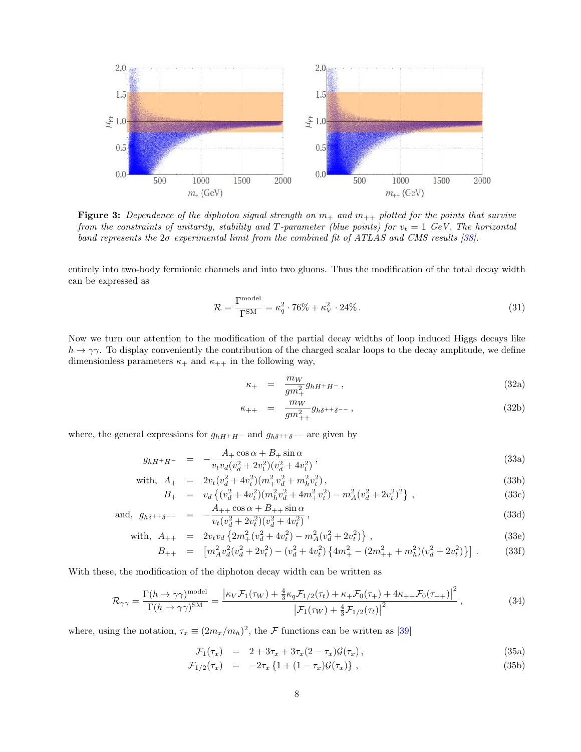

**Figure 3:** Dependence of the diphoton signal strength on  $m_+$  and  $m_{++}$  plotted for the points that survive *from the constraints of unitarity, stability and T-parameter (blue points) for*  $v_t = 1$  *GeV. The horizontal band represents the* 2σ *experimental limit from the combined fit of ATLAS and CMS results [38].*

entirely into two-body fermionic channels and into two gluons. Thus the modification of the total decay width can be expressed as

$$
\mathcal{R} = \frac{\Gamma^{\text{model}}}{\Gamma^{\text{SM}}} = \kappa_q^2 \cdot 76\% + \kappa_V^2 \cdot 24\% \,. \tag{31}
$$

Now we turn our attention to the modification of the partial decay widths of loop induced Higgs decays like  $h \to \gamma \gamma$ . To display conveniently the contribution of the charged scalar loops to the decay amplitude, we define dimensionless parameters  $\kappa_+$  and  $\kappa_{++}$  in the following way,

$$
\kappa_{+} = \frac{m_{W}}{gm_{+}^{2}} g_{hH^{+}H^{-}}, \qquad (32a)
$$

$$
\kappa_{++} = \frac{m_W}{gm_{++}^2} g_{h\delta^{++}\delta^{--}}, \tag{32b}
$$

where, the general expressions for  $g_{hH^+H^-}$  and  $g_{h\delta^{++}\delta^{--}}$  are given by

$$
g_{hH^{+}H^{-}} = -\frac{A_{+} \cos \alpha + B_{+} \sin \alpha}{v_{t} v_{d} (v_{d}^{2} + 2v_{t}^{2}) (v_{d}^{2} + 4v_{t}^{2})},
$$
\n(33a)

with, 
$$
A_{+} = 2v_t(v_d^2 + 4v_t^2)(m_+^2v_d^2 + m_h^2v_t^2)
$$
, (33b)

$$
B_{+} = v_d \left\{ (v_d^2 + 4v_t^2)(m_h^2 v_d^2 + 4m_+^2 v_t^2) - m_A^2 (v_d^2 + 2v_t^2)^2 \right\},
$$
\n(33c)

and, 
$$
g_{h\delta^{++}\delta^{--}} = -\frac{A_{++}\cos\alpha + B_{++}\sin\alpha}{v_t(v_d^2 + 2v_t^2)(v_d^2 + 4v_t^2)},
$$
 (33d)

with, 
$$
A_{++} = 2v_t v_d \{2m_+^2 (v_d^2 + 4v_t^2) - m_A^2 (v_d^2 + 2v_t^2)\}
$$
, (33e)

$$
B_{++} = \left[ m_A^2 v_d^2 (v_d^2 + 2v_t^2) - (v_d^2 + 4v_t^2) \left\{ 4m_+^2 - (2m_{++}^2 + m_h^2)(v_d^2 + 2v_t^2) \right\} \right].
$$
 (33f)

With these, the modification of the diphoton decay width can be written as

$$
\mathcal{R}_{\gamma\gamma} = \frac{\Gamma(h \to \gamma\gamma)^{\text{model}}}{\Gamma(h \to \gamma\gamma)^{\text{SM}}} = \frac{\left|\kappa_V \mathcal{F}_1(\tau_W) + \frac{4}{3}\kappa_q \mathcal{F}_{1/2}(\tau_t) + \kappa_+ \mathcal{F}_0(\tau_+) + 4\kappa_{++} \mathcal{F}_0(\tau_{++})\right|^2}{\left|\mathcal{F}_1(\tau_W) + \frac{4}{3}\mathcal{F}_{1/2}(\tau_t)\right|^2},\tag{34}
$$

where, using the notation,  $\tau_x \equiv (2m_x/m_h)^2$ , the  $\mathcal F$  functions can be written as [39]

$$
\mathcal{F}_1(\tau_x) = 2 + 3\tau_x + 3\tau_x (2 - \tau_x) \mathcal{G}(\tau_x), \qquad (35a)
$$

$$
\mathcal{F}_{1/2}(\tau_x) = -2\tau_x \left\{ 1 + (1 - \tau_x) \mathcal{G}(\tau_x) \right\},\tag{35b}
$$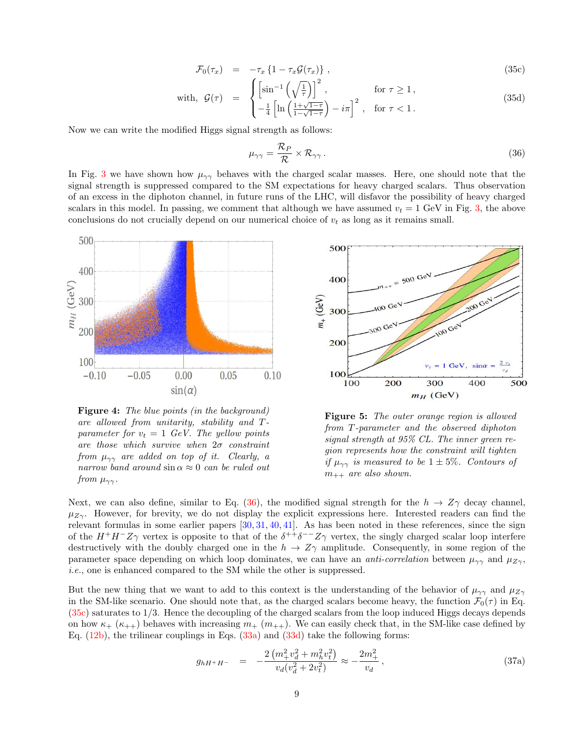$$
\mathcal{F}_0(\tau_x) = -\tau_x \left\{ 1 - \tau_x \mathcal{G}(\tau_x) \right\},\tag{35c}
$$

with, 
$$
\mathcal{G}(\tau) = \begin{cases} \left[\sin^{-1}\left(\sqrt{\frac{1}{\tau}}\right)\right]^2, & \text{for } \tau \ge 1, \\ -\frac{1}{4}\left[\ln\left(\frac{1+\sqrt{1-\tau}}{1-\sqrt{1-\tau}}\right)-i\pi\right]^2, & \text{for } \tau < 1. \end{cases}
$$
 (35d)

Now we can write the modified Higgs signal strength as follows:

$$
\mu_{\gamma\gamma} = \frac{\mathcal{R}_P}{\mathcal{R}} \times \mathcal{R}_{\gamma\gamma} \,. \tag{36}
$$

In Fig. 3 we have shown how  $\mu_{\gamma\gamma}$  behaves with the charged scalar masses. Here, one should note that the signal strength is suppressed compared to the SM expectations for heavy charged scalars. Thus observation of an excess in the diphoton channel, in future runs of the LHC, will disfavor the possibility of heavy charged scalars in this model. In passing, we comment that although we have assumed  $v_t = 1$  GeV in Fig. 3, the above conclusions do not crucially depend on our numerical choice of  $v_t$  as long as it remains small.



Figure 4: *The blue points (in the background) are allowed from unitarity, stability and* T*parameter for*  $v_t = 1$  *GeV. The yellow points are those which survive when* 2σ *constraint from*  $\mu_{\gamma\gamma}$  *are added on top of it. Clearly, a narrow band around* sin α ≈ 0 *can be ruled out from*  $\mu_{\gamma\gamma}$ *.* 



Figure 5: *The outer orange region is allowed from* T*-parameter and the observed diphoton signal strength at 95% CL. The inner green region represents how the constraint will tighten if*  $\mu_{\gamma\gamma}$  *is measured to be*  $1 \pm 5\%$ *. Contours of*  $m_{++}$  *are also shown.* 

Next, we can also define, similar to Eq. (36), the modified signal strength for the  $h \to Z\gamma$  decay channel,  $\mu_{Z\gamma}$ . However, for brevity, we do not display the explicit expressions here. Interested readers can find the relevant formulas in some earlier papers [30, 31, 40, 41]. As has been noted in these references, since the sign of the  $H^+H^-Z\gamma$  vertex is opposite to that of the  $\delta^{++}\delta^{--}Z\gamma$  vertex, the singly charged scalar loop interfere destructively with the doubly charged one in the  $h \to Z\gamma$  amplitude. Consequently, in some region of the parameter space depending on which loop dominates, we can have an *anti-correlation* between  $\mu_{\gamma\gamma}$  and  $\mu_{Z\gamma}$ , *i.e.*, one is enhanced compared to the SM while the other is suppressed.

But the new thing that we want to add to this context is the understanding of the behavior of  $\mu_{\gamma\gamma}$  and  $\mu_{Z\gamma}$ in the SM-like scenario. One should note that, as the charged scalars become heavy, the function  $\mathcal{F}_0(\tau)$  in Eq. (35c) saturates to 1/3. Hence the decoupling of the charged scalars from the loop induced Higgs decays depends on how  $\kappa_+$  ( $\kappa_{++}$ ) behaves with increasing  $m_+$  ( $m_{++}$ ). We can easily check that, in the SM-like case defined by Eq. (12b), the trilinear couplings in Eqs. (33a) and (33d) take the following forms:

$$
g_{hH^+H^-} = -\frac{2\left(m_+^2 v_d^2 + m_h^2 v_t^2\right)}{v_d (v_d^2 + 2v_t^2)} \approx -\frac{2m_+^2}{v_d} \,,\tag{37a}
$$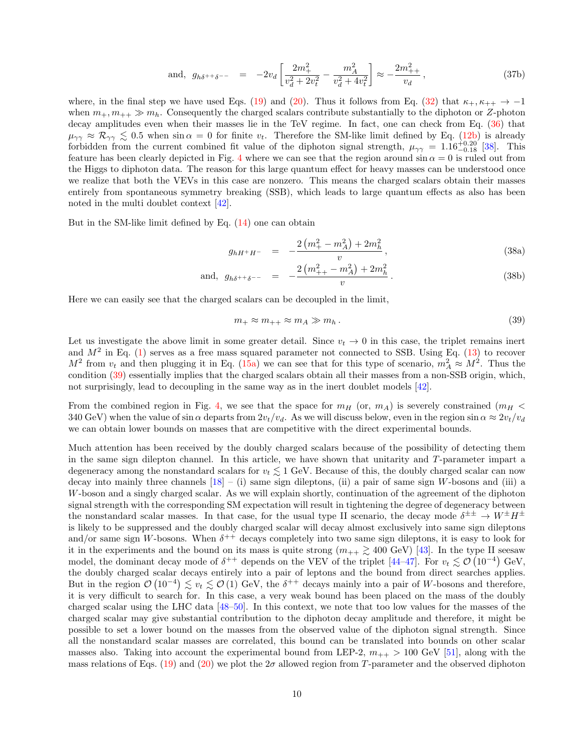and, 
$$
g_{h\delta^{++}\delta^{--}} = -2v_d \left[ \frac{2m_+^2}{v_d^2 + 2v_t^2} - \frac{m_A^2}{v_d^2 + 4v_t^2} \right] \approx -\frac{2m_{++}^2}{v_d},
$$
 (37b)

where, in the final step we have used Eqs. (19) and (20). Thus it follows from Eq. (32) that  $\kappa_{+}, \kappa_{++} \to -1$ when  $m_+, m_{++} \gg m_h$ . Consequently the charged scalars contribute substantially to the diphoton or Z-photon decay amplitudes even when their masses lie in the TeV regime. In fact, one can check from Eq. (36) that  $\mu_{\gamma\gamma} \approx \mathcal{R}_{\gamma\gamma} \lesssim 0.5$  when  $\sin \alpha = 0$  for finite  $v_t$ . Therefore the SM-like limit defined by Eq. (12b) is already forbidden from the current combined fit value of the diphoton signal strength,  $\mu_{\gamma\gamma} = 1.16^{+0.20}_{-0.18}$  [38]. This feature has been clearly depicted in Fig. 4 where we can see that the region around  $\sin \alpha = 0$  is ruled out from the Higgs to diphoton data. The reason for this large quantum effect for heavy masses can be understood once we realize that both the VEVs in this case are nonzero. This means the charged scalars obtain their masses entirely from spontaneous symmetry breaking (SSB), which leads to large quantum effects as also has been noted in the multi doublet context [42].

But in the SM-like limit defined by Eq. (14) one can obtain

$$
g_{hH^{+}H^{-}} = -\frac{2\left(m_{+}^{2} - m_{A}^{2}\right) + 2m_{h}^{2}}{v}, \qquad (38a)
$$

and, 
$$
g_{h\delta^{++}\delta^{--}} = -\frac{2(m_{++}^2 - m_A^2) + 2m_h^2}{v}
$$
. (38b)

Here we can easily see that the charged scalars can be decoupled in the limit,

$$
m_+ \approx m_{++} \approx m_A \gg m_h. \tag{39}
$$

Let us investigate the above limit in some greater detail. Since  $v_t \to 0$  in this case, the triplet remains inert and  $M^2$  in Eq. (1) serves as a free mass squared parameter not connected to SSB. Using Eq. (13) to recover  $M^2$  from  $v_t$  and then plugging it in Eq. (15a) we can see that for this type of scenario,  $m_A^2 \approx M^2$ . Thus the condition (39) essentially implies that the charged scalars obtain all their masses from a non-SSB origin, which, not surprisingly, lead to decoupling in the same way as in the inert doublet models [42].

From the combined region in Fig. 4, we see that the space for  $m_H$  (or,  $m_A$ ) is severely constrained ( $m_H$  < 340 GeV) when the value of sin  $\alpha$  departs from  $2v_t/v_d$ . As we will discuss below, even in the region sin  $\alpha \approx 2v_t/v_d$ we can obtain lower bounds on masses that are competitive with the direct experimental bounds.

Much attention has been received by the doubly charged scalars because of the possibility of detecting them in the same sign dilepton channel. In this article, we have shown that unitarity and T-parameter impart a degeneracy among the nonstandard scalars for  $v_t \lesssim 1$  GeV. Because of this, the doubly charged scalar can now decay into mainly three channels  $[18] - (i)$  same sign dileptons, (ii) a pair of same sign W-bosons and (iii) a W-boson and a singly charged scalar. As we will explain shortly, continuation of the agreement of the diphoton signal strength with the corresponding SM expectation will result in tightening the degree of degeneracy between the nonstandard scalar masses. In that case, for the usual type II scenario, the decay mode  $\delta^{\pm \pm} \to W^{\pm} H^{\pm}$ is likely to be suppressed and the doubly charged scalar will decay almost exclusively into same sign dileptons and/or same sign W-bosons. When  $\delta^{++}$  decays completely into two same sign dileptons, it is easy to look for it in the experiments and the bound on its mass is quite strong  $(m_{++} \gtrsim 400 \text{ GeV})$  [43]. In the type II seesaw model, the dominant decay mode of  $\delta^{++}$  depends on the VEV of the triplet [44–47]. For  $v_t \lesssim \mathcal{O}(10^{-4})$  GeV, the doubly charged scalar decays entirely into a pair of leptons and the bound from direct searches applies. But in the region  $\mathcal{O}(10^{-4}) \lesssim v_t \lesssim \mathcal{O}(1)$  GeV, the  $\delta^{++}$  decays mainly into a pair of W-bosons and therefore, it is very difficult to search for. In this case, a very weak bound has been placed on the mass of the doubly charged scalar using the LHC data [48–50]. In this context, we note that too low values for the masses of the charged scalar may give substantial contribution to the diphoton decay amplitude and therefore, it might be possible to set a lower bound on the masses from the observed value of the diphoton signal strength. Since all the nonstandard scalar masses are correlated, this bound can be translated into bounds on other scalar masses also. Taking into account the experimental bound from LEP-2,  $m_{++} > 100 \text{ GeV}$  [51], along with the mass relations of Eqs. (19) and (20) we plot the  $2\sigma$  allowed region from T-parameter and the observed diphoton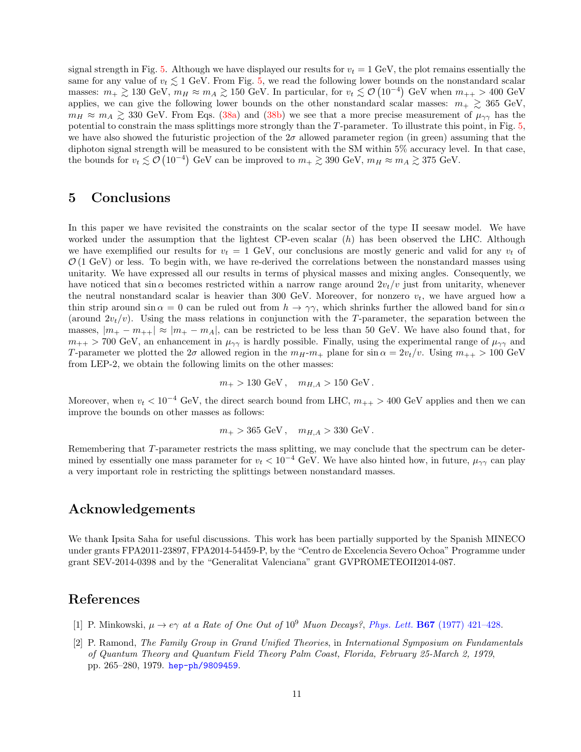signal strength in Fig. 5. Although we have displayed our results for  $v_t = 1$  GeV, the plot remains essentially the same for any value of  $v_t \lesssim 1$  GeV. From Fig. 5, we read the following lower bounds on the nonstandard scalar masses:  $m_+ \gtrsim 130 \text{ GeV}, m_H \approx m_A \gtrsim 150 \text{ GeV}$ . In particular, for  $v_t \lesssim \mathcal{O}(10^{-4})$  GeV when  $m_{++} > 400 \text{ GeV}$ applies, we can give the following lower bounds on the other nonstandard scalar masses:  $m_+ \geq 365 \text{ GeV}$ ,  $m_H \approx m_A \gtrsim 330$  GeV. From Eqs. (38a) and (38b) we see that a more precise measurement of  $\mu_{\gamma\gamma}$  has the potential to constrain the mass splittings more strongly than the T-parameter. To illustrate this point, in Fig. 5, we have also showed the futuristic projection of the  $2\sigma$  allowed parameter region (in green) assuming that the diphoton signal strength will be measured to be consistent with the SM within 5% accuracy level. In that case, the bounds for  $v_t \lesssim \mathcal{O}(10^{-4})$  GeV can be improved to  $m_+ \gtrsim 390$  GeV,  $m_H \approx m_A \gtrsim 375$  GeV.

#### 5 Conclusions

In this paper we have revisited the constraints on the scalar sector of the type II seesaw model. We have worked under the assumption that the lightest CP-even scalar (h) has been observed the LHC. Although we have exemplified our results for  $v_t = 1$  GeV, our conclusions are mostly generic and valid for any  $v_t$  of  $\mathcal{O}(1 \text{ GeV})$  or less. To begin with, we have re-derived the correlations between the nonstandard masses using unitarity. We have expressed all our results in terms of physical masses and mixing angles. Consequently, we have noticed that  $\sin \alpha$  becomes restricted within a narrow range around  $2v_t/v$  just from unitarity, whenever the neutral nonstandard scalar is heavier than 300 GeV. Moreover, for nonzero  $v_t$ , we have argued how a thin strip around sin  $\alpha = 0$  can be ruled out from  $h \to \gamma \gamma$ , which shrinks further the allowed band for sin  $\alpha$ (around  $2v_t/v$ ). Using the mass relations in conjunction with the T-parameter, the separation between the masses,  $|m_+ - m_{++}| \approx |m_+ - m_A|$ , can be restricted to be less than 50 GeV. We have also found that, for  $m_{++} > 700$  GeV, an enhancement in  $\mu_{\gamma\gamma}$  is hardly possible. Finally, using the experimental range of  $\mu_{\gamma\gamma}$  and T-parameter we plotted the 2 $\sigma$  allowed region in the  $m_{H}$ -m<sub>+</sub> plane for  $\sin \alpha = 2v_t/v$ . Using  $m_{++} > 100 \text{ GeV}$ from LEP-2, we obtain the following limits on the other masses:

$$
m_+ > 130 \text{ GeV}, \quad m_{H,A} > 150 \text{ GeV}.
$$

Moreover, when  $v_t < 10^{-4}$  GeV, the direct search bound from LHC,  $m_{++} > 400$  GeV applies and then we can improve the bounds on other masses as follows:

$$
m_+ > 365 \text{ GeV}, \quad m_{H,A} > 330 \text{ GeV}.
$$

Remembering that T-parameter restricts the mass splitting, we may conclude that the spectrum can be determined by essentially one mass parameter for  $v_t < 10^{-4}$  GeV. We have also hinted how, in future,  $\mu_{\gamma\gamma}$  can play a very important role in restricting the splittings between nonstandard masses.

### Acknowledgements

We thank Ipsita Saha for useful discussions. This work has been partially supported by the Spanish MINECO under grants FPA2011-23897, FPA2014-54459-P, by the "Centro de Excelencia Severo Ochoa" Programme under grant SEV-2014-0398 and by the "Generalitat Valenciana" grant GVPROMETEOII2014-087.

### References

- [1] P. Minkowski,  $\mu \rightarrow e\gamma$  *at a Rate of One Out of*  $10^9$  *Muon Decays?, Phys. Lett.* **B67** (1977) 421–428.
- [2] P. Ramond, *The Family Group in Grand Unified Theories*, in *International Symposium on Fundamentals of Quantum Theory and Quantum Field Theory Palm Coast, Florida, February 25-March 2, 1979*, pp. 265–280, 1979. hep-ph/9809459.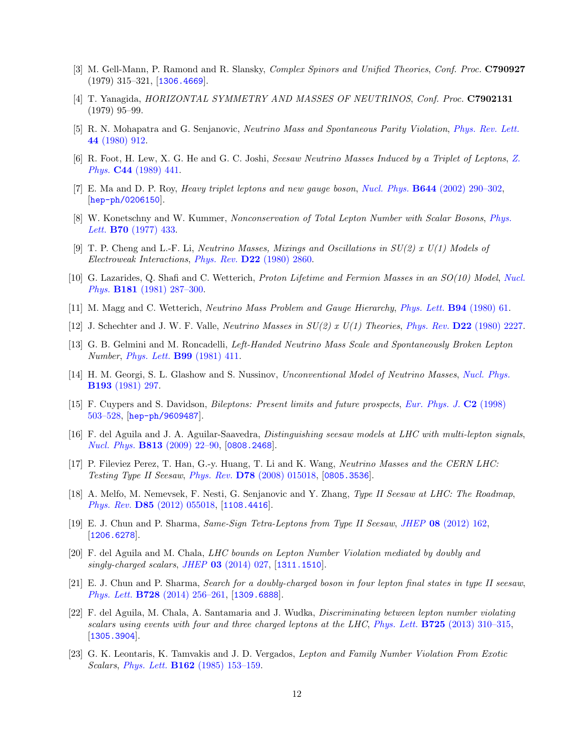- [3] M. Gell-Mann, P. Ramond and R. Slansky, *Complex Spinors and Unified Theories*, *Conf. Proc.* C790927  $(1979)$  315–321, [1306.4669].
- [4] T. Yanagida, *HORIZONTAL SYMMETRY AND MASSES OF NEUTRINOS*, *Conf. Proc.* C7902131 (1979) 95–99.
- [5] R. N. Mohapatra and G. Senjanovic, *Neutrino Mass and Spontaneous Parity Violation*, *Phys. Rev. Lett.* 44 (1980) 912.
- [6] R. Foot, H. Lew, X. G. He and G. C. Joshi, *Seesaw Neutrino Masses Induced by a Triplet of Leptons*, *Z. Phys.* C44 (1989) 441.
- [7] E. Ma and D. P. Roy, *Heavy triplet leptons and new gauge boson*, *Nucl. Phys.* B644 (2002) 290–302, [hep-ph/0206150].
- [8] W. Konetschny and W. Kummer, *Nonconservation of Total Lepton Number with Scalar Bosons*, *Phys. Lett.* B70 (1977) 433.
- [9] T. P. Cheng and L.-F. Li, *Neutrino Masses, Mixings and Oscillations in SU(2) x U(1) Models of Electroweak Interactions*, *Phys. Rev.* D22 (1980) 2860.
- [10] G. Lazarides, Q. Shafi and C. Wetterich, *Proton Lifetime and Fermion Masses in an SO(10) Model*, *Nucl. Phys.* B181 (1981) 287–300.
- [11] M. Magg and C. Wetterich, *Neutrino Mass Problem and Gauge Hierarchy*, *Phys. Lett.* B94 (1980) 61.
- [12] J. Schechter and J. W. F. Valle, *Neutrino Masses in SU(2) x U(1) Theories*, *Phys. Rev.* D22 (1980) 2227.
- [13] G. B. Gelmini and M. Roncadelli, *Left-Handed Neutrino Mass Scale and Spontaneously Broken Lepton Number*, *Phys. Lett.* B99 (1981) 411.
- [14] H. M. Georgi, S. L. Glashow and S. Nussinov, *Unconventional Model of Neutrino Masses*, *Nucl. Phys.* B193 (1981) 297.
- [15] F. Cuypers and S. Davidson, *Bileptons: Present limits and future prospects*, *Eur. Phys. J.* C2 (1998) 503–528, [hep-ph/9609487].
- [16] F. del Aguila and J. A. Aguilar-Saavedra, *Distinguishing seesaw models at LHC with multi-lepton signals*, *Nucl. Phys.* B813 (2009) 22–90, [0808.2468].
- [17] P. Fileviez Perez, T. Han, G.-y. Huang, T. Li and K. Wang, *Neutrino Masses and the CERN LHC: Testing Type II Seesaw*, *Phys. Rev.* D78 (2008) 015018, [0805.3536].
- [18] A. Melfo, M. Nemevsek, F. Nesti, G. Senjanovic and Y. Zhang, *Type II Seesaw at LHC: The Roadmap*, *Phys. Rev.* D85 (2012) 055018, [1108.4416].
- [19] E. J. Chun and P. Sharma, *Same-Sign Tetra-Leptons from Type II Seesaw*, *JHEP* 08 (2012) 162, [1206.6278].
- [20] F. del Aguila and M. Chala, *LHC bounds on Lepton Number Violation mediated by doubly and singly-charged scalars*, *JHEP* 03 (2014) 027, [1311.1510].
- [21] E. J. Chun and P. Sharma, *Search for a doubly-charged boson in four lepton final states in type II seesaw*, *Phys. Lett.* B728 (2014) 256–261, [1309.6888].
- [22] F. del Aguila, M. Chala, A. Santamaria and J. Wudka, *Discriminating between lepton number violating scalars using events with four and three charged leptons at the LHC*, *Phys. Lett.* B725 (2013) 310–315, [1305.3904].
- [23] G. K. Leontaris, K. Tamvakis and J. D. Vergados, *Lepton and Family Number Violation From Exotic Scalars*, *Phys. Lett.* B162 (1985) 153–159.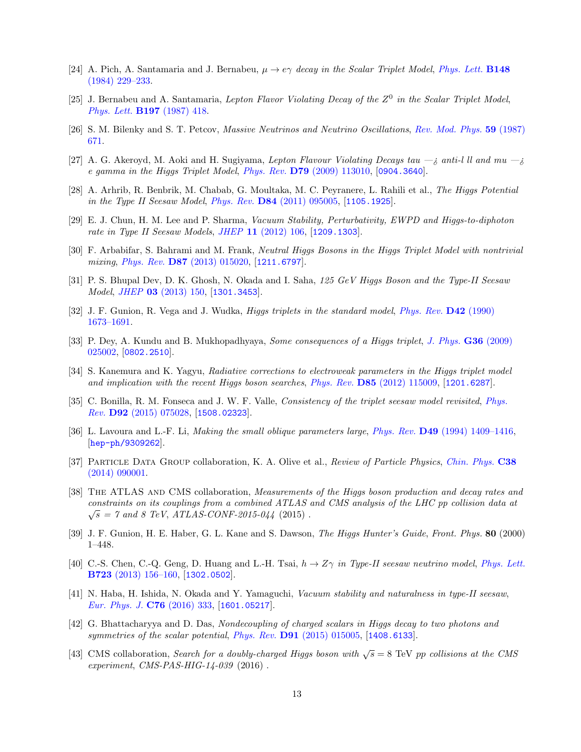- [24] A. Pich, A. Santamaria and J. Bernabeu,  $\mu \to e\gamma$  *decay in the Scalar Triplet Model, Phys. Lett.* **B148** (1984) 229–233.
- [25] J. Bernabeu and A. Santamaria, *Lepton Flavor Violating Decay of the* Z 0 *in the Scalar Triplet Model*, *Phys. Lett.* B197 (1987) 418.
- [26] S. M. Bilenky and S. T. Petcov, *Massive Neutrinos and Neutrino Oscillations*, *Rev. Mod. Phys.* 59 (1987) 671.
- [27] A. G. Akeroyd, M. Aoki and H. Sugiyama, *Lepton Flavour Violating Decays tau*  $-i$  anti-l ll and mu  $-i$ *e gamma in the Higgs Triplet Model*, *Phys. Rev.* D79 (2009) 113010, [0904.3640].
- [28] A. Arhrib, R. Benbrik, M. Chabab, G. Moultaka, M. C. Peyranere, L. Rahili et al., *The Higgs Potential in the Type II Seesaw Model*, *Phys. Rev.* D84 (2011) 095005, [1105.1925].
- [29] E. J. Chun, H. M. Lee and P. Sharma, *Vacuum Stability, Perturbativity, EWPD and Higgs-to-diphoton rate in Type II Seesaw Models*, *JHEP* 11 (2012) 106, [1209.1303].
- [30] F. Arbabifar, S. Bahrami and M. Frank, *Neutral Higgs Bosons in the Higgs Triplet Model with nontrivial mixing*, *Phys. Rev.* D87 (2013) 015020, [1211.6797].
- [31] P. S. Bhupal Dev, D. K. Ghosh, N. Okada and I. Saha, *125 GeV Higgs Boson and the Type-II Seesaw Model*, *JHEP* 03 (2013) 150, [1301.3453].
- [32] J. F. Gunion, R. Vega and J. Wudka, *Higgs triplets in the standard model*, *Phys. Rev.* D42 (1990) 1673–1691.
- [33] P. Dey, A. Kundu and B. Mukhopadhyaya, *Some consequences of a Higgs triplet*, *J. Phys.* G36 (2009) 025002, [0802.2510].
- [34] S. Kanemura and K. Yagyu, *Radiative corrections to electroweak parameters in the Higgs triplet model and implication with the recent Higgs boson searches*, *Phys. Rev.* D85 (2012) 115009, [1201.6287].
- [35] C. Bonilla, R. M. Fonseca and J. W. F. Valle, *Consistency of the triplet seesaw model revisited*, *Phys. Rev.* D92 (2015) 075028, [1508.02323].
- [36] L. Lavoura and L.-F. Li, *Making the small oblique parameters large*, *Phys. Rev.* D49 (1994) 1409–1416, [hep-ph/9309262].
- [37] Particle Data Group collaboration, K. A. Olive et al., *Review of Particle Physics*, *Chin. Phys.* C38 (2014) 090001.
- [38] The ATLAS and CMS collaboration, *Measurements of the Higgs boson production and decay rates and constraints on its couplings from a combined ATLAS and CMS analysis of the LHC pp collision data at*  $\sqrt{s}$  = 7 and 8 TeV,  $\vec{ATLAS-CONF}$ -2015-044 (2015).
- [39] J. F. Gunion, H. E. Haber, G. L. Kane and S. Dawson, *The Higgs Hunter's Guide*, *Front. Phys.* 80 (2000) 1–448.
- [40] C.-S. Chen, C.-Q. Geng, D. Huang and L.-H. Tsai, h → Zγ *in Type-II seesaw neutrino model*, *Phys. Lett.* B723 (2013) 156–160, [1302.0502].
- [41] N. Haba, H. Ishida, N. Okada and Y. Yamaguchi, *Vacuum stability and naturalness in type-II seesaw*, *Eur. Phys. J.* C76 (2016) 333, [1601.05217].
- [42] G. Bhattacharyya and D. Das, *Nondecoupling of charged scalars in Higgs decay to two photons and symmetries of the scalar potential*, *Phys. Rev.* D91 (2015) 015005, [1408.6133].
- [43] CMS collaboration, *Search for a doubly-charged Higgs boson with*  $\sqrt{s} = 8$  TeV pp *collisions at the CMS experiment*, *CMS-PAS-HIG-14-039* (2016) .